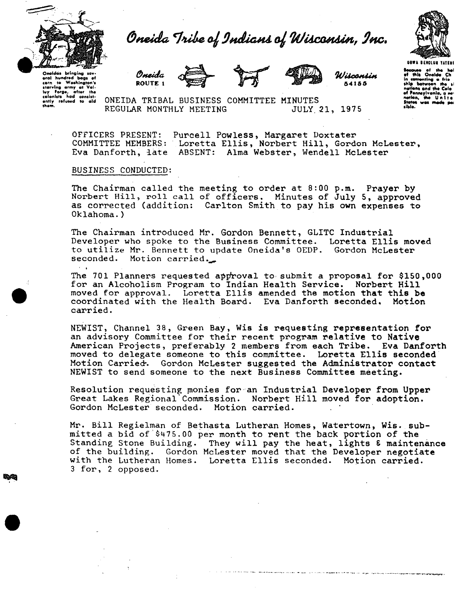



Oneidas brinaina sev Oneidas bringing sev-<br>eral hundred bags ef<br>cern to Washington's<br>starving army at Val-<br>they Forge, after the<br>colonists had consist-<br>ently refused to ald<br>them.









Wisconsin 54155

.<br>Bacquse of the hol<br>of this Oneida Ch in can nonting a frio ship botwar tions and the Cole of Pennsylvania, a **THEFT** احطامت States<br>sible. was m

ONEIDA TRIBAL BUSINESS COMMITTEE MINUTES REGULAR MONTHLY MEETING **JULY 21, 1975** 

OFFICERS PRESENT: Purcell Powless, Margaret Doxtater COMMITTEE MEMBERS: Loretta Ellis, Norbert Hill, Gordon McLester, Eva Danforth, late ABSENT: Alma Webster, Wendell McLester

## BUSINESS CONDUCTED:

The Chairman called the meeting to order at 8:00 p.m. Prayer by Norbert Hill, roll call of officers. Minutes of July 5, approved as corrected (addition: Carlton Smith to pay his own expenses to  $0k$ lahoma.)

The Chairman introduced Mr. Gordon Bennett, GLITC Industrial Developer who spoke to the Business Committee. Loretta Ellis moved to utilize Mr. Bennett to update Oneida's OEDP. Gordon McLester seconded. Motion carried.

The 701 Planners requested approval to submit a proposal for \$150,000 for an Alcoholism Program to Indian Health Service. Norbert Hill moved for approval. Loretta Ellis amended the motion that this be coordinated with the Health Board. Eva Danforth seconded. Motion carried.

NEWIST, Channel 38, Green Bay, Wis is requesting representation for an advisory Committee for their recent program relative to Native American Projects, preferably 2 members from each Tribe. Eva Danforth moved to delegate someone to this committee. Loretta Ellis seconded Motion Carried. Gordon McLester suggested the Administrator contact NEWIST to send someone to the next Business Committee meeting.

Resolution requesting monies for an Industrial Developer from Upper Great Lakes Regional Commission. Norbert Hill moved for adoption. Gordon McLester seconded. Motion carried.

Mr. Bill Regielman of Bethasta Lutheran Homes, Watertown, Wis. submitted a bid of \$475.00 per month to rent the back portion of the Standing Stone Building. They will pay the heat, lights & maintenance of the building. Gordon McLester moved that the Developer negotiate with the Lutheran Homes. Loretta Ellis seconded. Motion carried. 3 for, 2 opposed.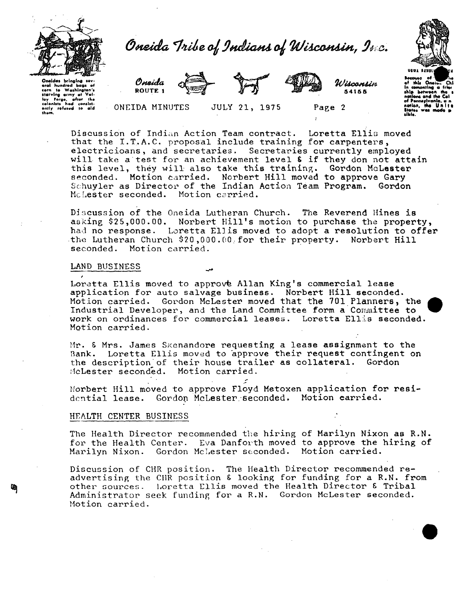



Oneidas bringing sev eral hundred bags of In Workington's .... corn to Washington's<br>starving army at Valley Forge, after the<br>colonists had consistently refused to ald<br>them,<br>them,



ONEIDA MINUTES





JULY 21, 1975



Page 2

Wisconsiss 54155

yh le wiina a

Discussion of Indian Action Team contract. Loretta Ellis moved that the I.T.A.C. proposal include training for carpenters, electricioans, and secretaries. Secretaries currently employed will take a test for an achievement level & if they don not attain this level, they will also take this training. Gordon McLester seconded. Motion carried. Norbert Hill moved to approve Gary Schuyler as Director of the Indian Action Team Program. Gordon Molester seconded. Motion carried.

Discussion of the Oneida Lutheran Church. The Reverend Hines is asking \$25,000.00. Norbert Hill's motion to purchase the property, had no response. Loretta Ellis moved to adopt a resolution to offer the Lutheran Church \$20,000.00 for their property. Norbert Hill seconded. Motion carried.

## LAND BUSINESS

Loretta Ellis moved to approve Allan King's commercial lease application for auto salvage business. Norbert Hill seconded. Motion carried. Gordon McLester moved that the 701 Planners, the Industrial Developer, and the Land Committee form a Committee to work on ordinances for commercial leases. Loretta Ellis seconded. Motion carried.

Mr. & Mrs. James Skenandore requesting a lease assignment to the Bank. Loretta Ellis moved to approve their request contingent on the description of their house trailer as collateral. Gordon McLester seconded. Motion carried.

Morbert Hill moved to approve Floyd Metoxen application for residential lease. Gordon McLester seconded. Motion carried.

## HEALTH CENTER BUSINESS

The Health Director recommended the hiring of Marilyn Nixon as R.N. for the Health Center. Eva Danforth moved to approve the hiring of Marilyn Nixon. Gordon McLester seconded. Motion carried.

Discussion of CHR position. The Health Director recommended readvertising the CHR position & looking for funding for a R.N. from other sources. Loretta Ellis moved the Health Director & Tribal Administrator seek funding for a R.N. Gordon McLester seconded. Motion carried.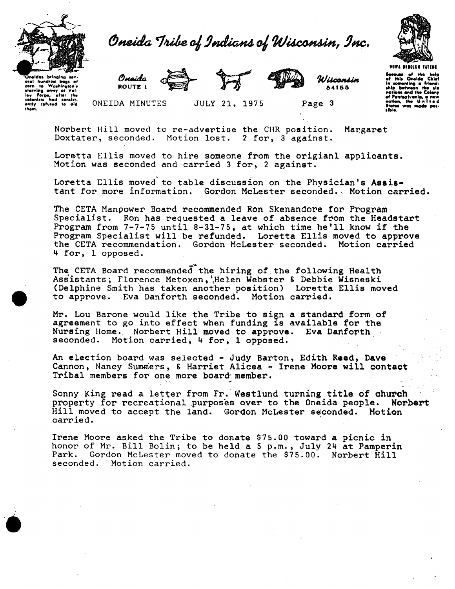



las bringing sev oral hundred baas -4 oral hundred bags of<br>starving orny at Vashington's<br>starving orny at Val.<br>ley forge, after the<br>colonists had consist-<br>only refused to aid tham.



ONEIDA MINUTES



Uiscossiss **B41BB** 

Page 3

**VOWA BEHOLUM TATENE** ausa of the hol<mark>.</mark><br>This Onelda Chle menting a friend<br>batween the ĺn shin hati wylvania

Norbert Hill moved to re-advertise the CHR position. Margaret Doxtater, seconded. Motion lost. 2 for, 3 against.

Loretta Ellis moved to hire someone from the origianl applicants. Motion was seconded and carried 3 for, 2 against.

JULY 21, 1975

Loretta Ellis moved to table discussion on the Physician's Assistant for more information. Gordon McLester seconded. Motion carried.

The CETA Manpower Board recommended Ron Skenandore for Program Specialist. Ron has requested a leave of absence from the Headstart Program from 7-7-75 until 8-31-75, at which time he'll know if the Program Specialist will be refunded. Loretta Ellis moved to approve the CETA recommendation. Gordon McLester seconded. Motion carried 4 for, 1 opposed.

The CETA Board recommended the hiring of the following Health Assistants; Florence Metoxen, Helen Webster & Debbie Wisneski (Delphine Smith has taken another position) Loretta Ellis moved to approve. Eva Danforth seconded. Motion carried.

Mr. Lou Barone would like the Tribe to sign a standard form of agreement to go into effect when funding is available for the Nursing Home. Norbert Hill moved to approve. Eva Danforth seconded. Motion carried, 4 for, 1 opposed.

An election board was selected - Judy Barton, Edith Reed, Dave Cannon, Nancy Summers, & Harriet Alicea - Irene Moore will contact Tribal members for one more board member.

Sonny King read a letter from Fr. Westlund turning title of church property for recreational purposes over to the Oneida people. **Norbert** Hill moved to accept the land. Gordon McLester seconded. Motion carried.

Irene Moore asked the Tribe to donate \$75.00 toward a picnic in honor of Mr. Bill Bolin; to be held a 5 p.m., July 24 at Pamperin Park. Gordon McLester moved to donate the \$75.00. Norbert Hill seconded. Motion carried.